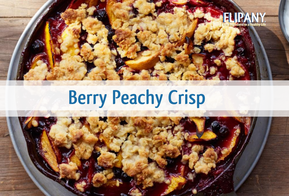

# **Berry Peachy Crisp**